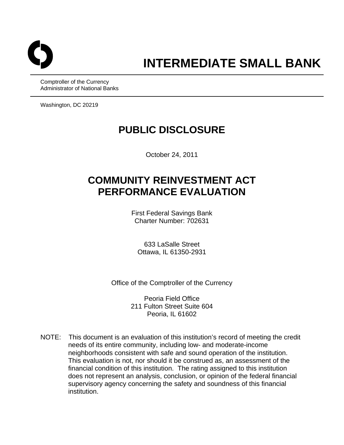

Comptroller of the Currency Administrator of National Banks

Washington, DC 20219

## **PUBLIC DISCLOSURE**

October 24, 2011

# **COMMUNITY REINVESTMENT ACT PERFORMANCE EVALUATION**

First Federal Savings Bank Charter Number: 702631

633 LaSalle Street Ottawa, IL 61350-2931

Office of the Comptroller of the Currency

Peoria Field Office 211 Fulton Street Suite 604 Peoria, IL 61602

NOTE: This document is an evaluation of this institution's record of meeting the credit needs of its entire community, including low- and moderate-income neighborhoods consistent with safe and sound operation of the institution. This evaluation is not, nor should it be construed as, an assessment of the financial condition of this institution. The rating assigned to this institution does not represent an analysis, conclusion, or opinion of the federal financial supervisory agency concerning the safety and soundness of this financial institution.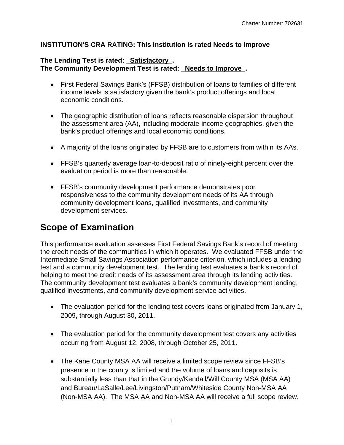#### **INSTITUTION'S CRA RATING: This institution is rated Needs to Improve**

#### **The Lending Test is rated: \_Satisfactory\_.**  The Community Development Test is rated: Needs to Improve.

- First Federal Savings Bank's (FFSB) distribution of loans to families of different income levels is satisfactory given the bank's product offerings and local economic conditions.
- The geographic distribution of loans reflects reasonable dispersion throughout the assessment area (AA), including moderate-income geographies, given the bank's product offerings and local economic conditions.
- A majority of the loans originated by FFSB are to customers from within its AAs.
- FFSB's quarterly average loan-to-deposit ratio of ninety-eight percent over the evaluation period is more than reasonable.
- FFSB's community development performance demonstrates poor responsiveness to the community development needs of its AA through community development loans, qualified investments, and community development services.

## **Scope of Examination**

This performance evaluation assesses First Federal Savings Bank's record of meeting the credit needs of the communities in which it operates. We evaluated FFSB under the Intermediate Small Savings Association performance criterion, which includes a lending test and a community development test. The lending test evaluates a bank's record of helping to meet the credit needs of its assessment area through its lending activities. The community development test evaluates a bank's community development lending, qualified investments, and community development service activities.

- The evaluation period for the lending test covers loans originated from January 1, 2009, through August 30, 2011.
- The evaluation period for the community development test covers any activities occurring from August 12, 2008, through October 25, 2011.
- The Kane County MSA AA will receive a limited scope review since FFSB's presence in the county is limited and the volume of loans and deposits is substantially less than that in the Grundy/Kendall/Will County MSA (MSA AA) and Bureau/LaSalle/Lee/Livingston/Putnam/Whiteside County Non-MSA AA (Non-MSA AA). The MSA AA and Non-MSA AA will receive a full scope review.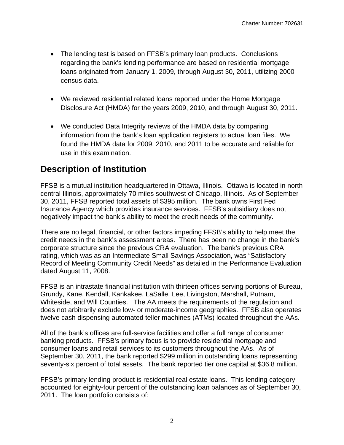- The lending test is based on FFSB's primary loan products. Conclusions regarding the bank's lending performance are based on residential mortgage loans originated from January 1, 2009, through August 30, 2011, utilizing 2000 census data.
- We reviewed residential related loans reported under the Home Mortgage Disclosure Act (HMDA) for the years 2009, 2010, and through August 30, 2011.
- We conducted Data Integrity reviews of the HMDA data by comparing information from the bank's loan application registers to actual loan files. We found the HMDA data for 2009, 2010, and 2011 to be accurate and reliable for use in this examination.

## **Description of Institution**

FFSB is a mutual institution headquartered in Ottawa, Illinois. Ottawa is located in north central Illinois, approximately 70 miles southwest of Chicago, Illinois. As of September 30, 2011, FFSB reported total assets of \$395 million. The bank owns First Fed Insurance Agency which provides insurance services. FFSB's subsidiary does not negatively impact the bank's ability to meet the credit needs of the community.

There are no legal, financial, or other factors impeding FFSB's ability to help meet the credit needs in the bank's assessment areas. There has been no change in the bank's corporate structure since the previous CRA evaluation. The bank's previous CRA rating, which was as an Intermediate Small Savings Association, was "Satisfactory Record of Meeting Community Credit Needs" as detailed in the Performance Evaluation dated August 11, 2008.

FFSB is an intrastate financial institution with thirteen offices serving portions of Bureau, Grundy, Kane, Kendall, Kankakee, LaSalle, Lee, Livingston, Marshall, Putnam, Whiteside, and Will Counties. The AA meets the requirements of the regulation and does not arbitrarily exclude low- or moderate-income geographies. FFSB also operates twelve cash dispensing automated teller machines (ATMs) located throughout the AAs.

All of the bank's offices are full-service facilities and offer a full range of consumer banking products. FFSB's primary focus is to provide residential mortgage and consumer loans and retail services to its customers throughout the AAs. As of September 30, 2011, the bank reported \$299 million in outstanding loans representing seventy-six percent of total assets. The bank reported tier one capital at \$36.8 million.

FFSB's primary lending product is residential real estate loans. This lending category accounted for eighty-four percent of the outstanding loan balances as of September 30, 2011. The loan portfolio consists of: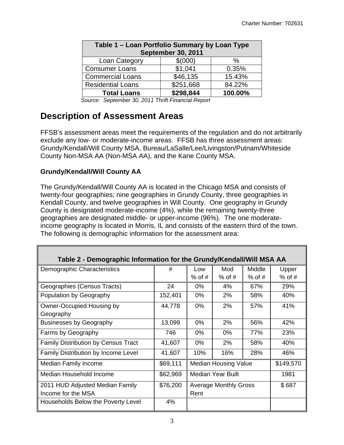|                                  | Table 1 - Loan Portfolio Summary by Loan Type |         |  |  |  |  |  |  |  |  |
|----------------------------------|-----------------------------------------------|---------|--|--|--|--|--|--|--|--|
| <b>September 30, 2011</b>        |                                               |         |  |  |  |  |  |  |  |  |
| \$(000)<br>Loan Category<br>$\%$ |                                               |         |  |  |  |  |  |  |  |  |
| <b>Consumer Loans</b>            | \$1,041                                       | 0.35%   |  |  |  |  |  |  |  |  |
| <b>Commercial Loans</b>          | \$46,135                                      | 15.43%  |  |  |  |  |  |  |  |  |
| <b>Residential Loans</b>         | \$251,668                                     | 84.22%  |  |  |  |  |  |  |  |  |
| <b>Total Loans</b>               | \$298,844                                     | 100.00% |  |  |  |  |  |  |  |  |

*Source: September 30, 2011 Thrift Financial Report* 

### **Description of Assessment Areas**

FFSB's assessment areas meet the requirements of the regulation and do not arbitrarily exclude any low- or moderate-income areas. FFSB has three assessment areas: Grundy/Kendall/Will County MSA, Bureau/LaSalle/Lee/Livingston/Putnam/Whiteside County Non-MSA AA (Non-MSA AA), and the Kane County MSA.

#### **Grundy/Kendall/Will County AA**

F

The Grundy/Kendall/Will County AA is located in the Chicago MSA and consists of twenty-four geographies; nine geographies in Grundy County, three geographies in Kendall County, and twelve geographies in Will County. One geography in Grundy County is designated moderate-income (4%), while the remaining twenty-three geographies are designated middle- or upper-income (96%). The one moderateincome geography is located in Morris, IL and consists of the eastern third of the town. The following is demographic information for the assessment area:

| Table 2 - Demographic Information for the Grundy/Kendall/Will MSA AA |          |          |                              |          |           |  |  |  |  |  |  |
|----------------------------------------------------------------------|----------|----------|------------------------------|----------|-----------|--|--|--|--|--|--|
| Demographic Characteristics                                          | #        | Low      | Mod                          | Middle   | Upper     |  |  |  |  |  |  |
|                                                                      |          | $%$ of # | $%$ of #                     | $%$ of # | $%$ of #  |  |  |  |  |  |  |
| Geographies (Census Tracts)                                          | 24       | 0%       | 4%                           | 67%      | 29%       |  |  |  |  |  |  |
| Population by Geography                                              | 152,401  | $0\%$    | 2%                           | 58%      | 40%       |  |  |  |  |  |  |
| Owner-Occupied Housing by                                            | 44,778   | 0%       | 2%                           | 57%      | 41%       |  |  |  |  |  |  |
| Geography                                                            |          |          |                              |          |           |  |  |  |  |  |  |
| <b>Businesses by Geography</b>                                       | 13,099   | 0%       | 2%                           | 56%      | 42%       |  |  |  |  |  |  |
| Farms by Geography                                                   | 746      | $0\%$    | $0\%$                        | 77%      | 23%       |  |  |  |  |  |  |
| <b>Family Distribution by Census Tract</b>                           | 41,607   | 0%       | 2%                           | 58%      | 40%       |  |  |  |  |  |  |
| Family Distribution by Income Level                                  | 41,607   | 10%      | 16%                          | 28%      | 46%       |  |  |  |  |  |  |
| Median Family Income                                                 | \$69,111 |          | <b>Median Housing Value</b>  |          | \$149,570 |  |  |  |  |  |  |
| Median Household Income                                              | \$62,969 |          | Median Year Built            |          | 1981      |  |  |  |  |  |  |
| 2011 HUD Adjusted Median Family                                      | \$76,200 |          | <b>Average Monthly Gross</b> |          | \$687     |  |  |  |  |  |  |
| Income for the MSA                                                   |          | Rent     |                              |          |           |  |  |  |  |  |  |
| Households Below the Poverty Level                                   | 4%       |          |                              |          |           |  |  |  |  |  |  |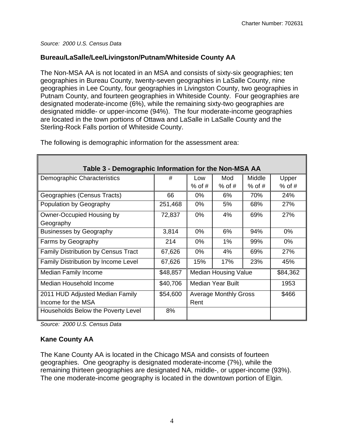#### **Bureau/LaSalle/Lee/Livingston/Putnam/Whiteside County AA**

The Non-MSA AA is not located in an MSA and consists of sixty-six geographies; ten geographies in Bureau County, twenty-seven geographies in LaSalle County, nine geographies in Lee County, four geographies in Livingston County, two geographies in Putnam County, and fourteen geographies in Whiteside County. Four geographies are designated moderate-income (6%), while the remaining sixty-two geographies are designated middle- or upper-income (94%). The four moderate-income geographies are located in the town portions of Ottawa and LaSalle in LaSalle County and the Sterling-Rock Falls portion of Whiteside County.

| Table 3 - Demographic Information for the Non-MSA AA |          |          |                              |          |          |  |  |  |  |  |  |
|------------------------------------------------------|----------|----------|------------------------------|----------|----------|--|--|--|--|--|--|
| Demographic Characteristics                          | #        | Low      | Mod                          | Middle   | Upper    |  |  |  |  |  |  |
|                                                      |          | $%$ of # | $%$ of #                     | $%$ of # | $%$ of # |  |  |  |  |  |  |
| Geographies (Census Tracts)                          | 66       | $0\%$    | 6%                           | 70%      | 24%      |  |  |  |  |  |  |
| Population by Geography                              | 251,468  | $0\%$    | 5%                           | 68%      | 27%      |  |  |  |  |  |  |
| <b>Owner-Occupied Housing by</b>                     | 72,837   | 0%       | 4%                           | 69%      | 27%      |  |  |  |  |  |  |
| Geography                                            |          |          |                              |          |          |  |  |  |  |  |  |
| <b>Businesses by Geography</b>                       | 3,814    | $0\%$    | 6%                           | 94%      | $0\%$    |  |  |  |  |  |  |
| Farms by Geography                                   | 214      | $0\%$    | $1\%$                        | 99%      | $0\%$    |  |  |  |  |  |  |
| Family Distribution by Census Tract                  | 67,626   | 0%       | 4%                           | 69%      | 27%      |  |  |  |  |  |  |
| Family Distribution by Income Level                  | 67,626   | 15%      | 17%                          | 23%      | 45%      |  |  |  |  |  |  |
| <b>Median Family Income</b>                          | \$48,857 |          | <b>Median Housing Value</b>  |          | \$84,362 |  |  |  |  |  |  |
| Median Household Income                              | \$40,706 |          | Median Year Built            |          | 1953     |  |  |  |  |  |  |
| 2011 HUD Adjusted Median Family                      | \$54,600 |          | <b>Average Monthly Gross</b> |          | \$466    |  |  |  |  |  |  |
| Income for the MSA                                   |          | Rent     |                              |          |          |  |  |  |  |  |  |
| Households Below the Poverty Level                   | 8%       |          |                              |          |          |  |  |  |  |  |  |

The following is demographic information for the assessment area:

*Source: 2000 U.S. Census Data* 

#### **Kane County AA**

The Kane County AA is located in the Chicago MSA and consists of fourteen geographies. One geography is designated moderate-income (7%), while the remaining thirteen geographies are designated NA, middle-, or upper-income (93%). The one moderate-income geography is located in the downtown portion of Elgin.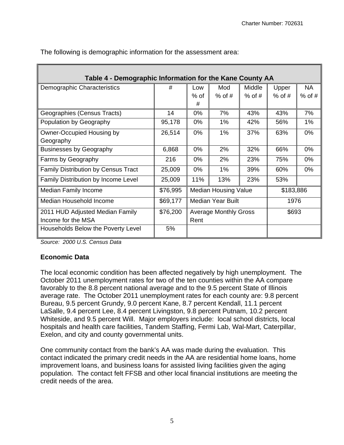| Table 4 - Demographic Information for the Kane County AA |          |       |                              |          |           |           |  |  |  |  |  |
|----------------------------------------------------------|----------|-------|------------------------------|----------|-----------|-----------|--|--|--|--|--|
| Demographic Characteristics                              | #        | Low   | Mod                          | Middle   | Upper     | <b>NA</b> |  |  |  |  |  |
|                                                          |          | % of  | $%$ of #                     | $%$ of # | $%$ of #  | $%$ of #  |  |  |  |  |  |
|                                                          |          | #     |                              |          |           |           |  |  |  |  |  |
| Geographies (Census Tracts)                              | 14       | $0\%$ | 7%                           | 43%      | 43%       | 7%        |  |  |  |  |  |
| Population by Geography                                  | 95,178   | $0\%$ | $1\%$                        | 42%      | 56%       | $1\%$     |  |  |  |  |  |
| Owner-Occupied Housing by                                | 26,514   | 0%    | 1%                           | 37%      | 63%       | 0%        |  |  |  |  |  |
| Geography                                                |          |       |                              |          |           |           |  |  |  |  |  |
| <b>Businesses by Geography</b>                           | 6,868    | 0%    | 2%                           | 32%      | 66%       | 0%        |  |  |  |  |  |
| Farms by Geography                                       | 216      | $0\%$ | 2%                           | 23%      | 75%       | 0%        |  |  |  |  |  |
| <b>Family Distribution by Census Tract</b>               | 25,009   | 0%    | 1%                           | 39%      | 60%       | 0%        |  |  |  |  |  |
| Family Distribution by Income Level                      | 25,009   | 11%   | 13%                          | 23%      | 53%       |           |  |  |  |  |  |
| <b>Median Family Income</b>                              | \$76,995 |       | <b>Median Housing Value</b>  |          | \$183,886 |           |  |  |  |  |  |
| Median Household Income                                  | \$69,177 |       | <b>Median Year Built</b>     |          | 1976      |           |  |  |  |  |  |
| 2011 HUD Adjusted Median Family                          | \$76,200 |       | <b>Average Monthly Gross</b> |          | \$693     |           |  |  |  |  |  |
| Income for the MSA                                       |          | Rent  |                              |          |           |           |  |  |  |  |  |
| Households Below the Poverty Level                       | 5%       |       |                              |          |           |           |  |  |  |  |  |

The following is demographic information for the assessment area:

*Source: 2000 U.S. Census Data* 

#### **Economic Data**

The local economic condition has been affected negatively by high unemployment. The October 2011 unemployment rates for two of the ten counties within the AA compare favorably to the 8.8 percent national average and to the 9.5 percent State of Illinois average rate. The October 2011 unemployment rates for each county are: 9.8 percent Bureau, 9.5 percent Grundy, 9.0 percent Kane, 8.7 percent Kendall, 11.1 percent LaSalle, 9.4 percent Lee, 8.4 percent Livingston, 9.8 percent Putnam, 10.2 percent Whiteside, and 9.5 percent Will. Major employers include: local school districts, local hospitals and health care facilities, Tandem Staffing, Fermi Lab, Wal-Mart, Caterpillar, Exelon, and city and county governmental units.

One community contact from the bank's AA was made during the evaluation. This contact indicated the primary credit needs in the AA are residential home loans, home improvement loans, and business loans for assisted living facilities given the aging population. The contact felt FFSB and other local financial institutions are meeting the credit needs of the area.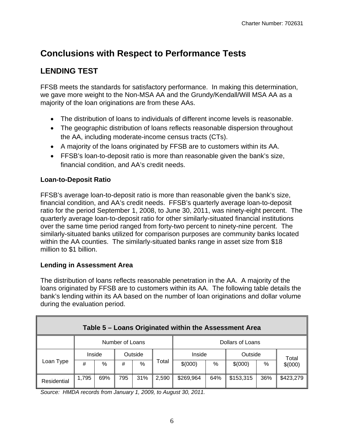# **Conclusions with Respect to Performance Tests**

### **LENDING TEST**

FFSB meets the standards for satisfactory performance. In making this determination, we gave more weight to the Non-MSA AA and the Grundy/Kendall/Will MSA AA as a majority of the loan originations are from these AAs.

- The distribution of loans to individuals of different income levels is reasonable.
- The geographic distribution of loans reflects reasonable dispersion throughout the AA, including moderate-income census tracts (CTs).
- A majority of the loans originated by FFSB are to customers within its AA.
- FFSB's loan-to-deposit ratio is more than reasonable given the bank's size, financial condition, and AA's credit needs.

#### **Loan-to-Deposit Ratio**

FFSB's average loan-to-deposit ratio is more than reasonable given the bank's size, financial condition, and AA's credit needs. FFSB's quarterly average loan-to-deposit ratio for the period September 1, 2008, to June 30, 2011, was ninety-eight percent. The quarterly average loan-to-deposit ratio for other similarly-situated financial institutions over the same time period ranged from forty-two percent to ninety-nine percent. The similarly-situated banks utilized for comparison purposes are community banks located within the AA counties. The similarly-situated banks range in asset size from \$18 million to \$1 billion.

#### **Lending in Assessment Area**

The distribution of loans reflects reasonable penetration in the AA. A majority of the loans originated by FFSB are to customers within its AA. The following table details the bank's lending within its AA based on the number of loan originations and dollar volume during the evaluation period.

| Table 5 - Loans Originated within the Assessment Area |                 |        |         |      |       |                  |      |           |     |           |
|-------------------------------------------------------|-----------------|--------|---------|------|-------|------------------|------|-----------|-----|-----------|
|                                                       | Number of Loans |        |         |      |       | Dollars of Loans |      |           |     |           |
|                                                       |                 | Inside | Outside |      |       | Inside           |      | Outside   |     | Total     |
| Loan Type                                             | #               | %      | #       | $\%$ | Total | \$(000)          | $\%$ | \$(000)   | %   | \$(000)   |
| Residential                                           | 1,795           | 69%    | 795     | 31%  | 2,590 | \$269,964        | 64%  | \$153,315 | 36% | \$423,279 |

*Source: HMDA records from January 1, 2009, to August 30, 2011.*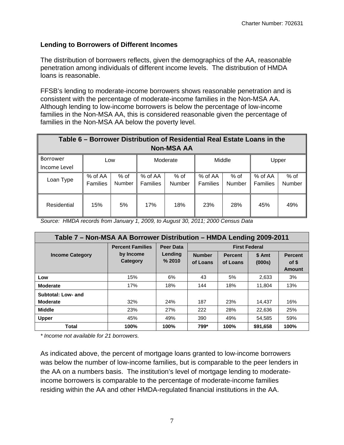#### **Lending to Borrowers of Different Incomes**

The distribution of borrowers reflects, given the demographics of the AA, reasonable penetration among individuals of different income levels. The distribution of HMDA loans is reasonable.

FFSB's lending to moderate-income borrowers shows reasonable penetration and is consistent with the percentage of moderate-income families in the Non-MSA AA. Although lending to low-income borrowers is below the percentage of low-income families in the Non-MSA AA, this is considered reasonable given the percentage of families in the Non-MSA AA below the poverty level.

|                   | Table 6 – Borrower Distribution of Residential Real Estate Loans in the |        |                 |               |                 |        |          |        |  |  |  |
|-------------------|-------------------------------------------------------------------------|--------|-----------------|---------------|-----------------|--------|----------|--------|--|--|--|
| <b>Non-MSA AA</b> |                                                                         |        |                 |               |                 |        |          |        |  |  |  |
| Borrower          | Low                                                                     |        | Moderate        |               |                 | Middle |          | Upper  |  |  |  |
| Income Level      |                                                                         |        |                 |               |                 |        |          |        |  |  |  |
| Loan Type         | % of AA                                                                 | % of   | % of AA         | $%$ of        | % of AA         | $%$ of | % of AA  | % of   |  |  |  |
|                   | <b>Families</b>                                                         | Number | <b>Families</b> | <b>Number</b> | <b>Families</b> | Number | Families | Number |  |  |  |
|                   |                                                                         |        |                 |               |                 |        |          |        |  |  |  |
| Residential       | 15%                                                                     | 5%     | 17%             | 18%           | 23%             | 28%    | 45%      | 49%    |  |  |  |

*Source: HMDA records from January 1, 2009, to August 30, 2011; 2000 Census Data* 

| Table 7 - Non-MSA AA Borrower Distribution - HMDA Lending 2009-2011 |                         |                   |                           |                            |                  |                                   |  |  |  |  |
|---------------------------------------------------------------------|-------------------------|-------------------|---------------------------|----------------------------|------------------|-----------------------------------|--|--|--|--|
|                                                                     | <b>Percent Families</b> | <b>Peer Data</b>  | <b>First Federal</b>      |                            |                  |                                   |  |  |  |  |
| <b>Income Category</b>                                              | by Income<br>Category   | Lending<br>% 2010 | <b>Number</b><br>of Loans | <b>Percent</b><br>of Loans | \$ Amt<br>(000s) | <b>Percent</b><br>of \$<br>Amount |  |  |  |  |
| Low                                                                 | 15%                     | 6%                | 43                        | 5%                         | 2,633            | 3%                                |  |  |  |  |
| <b>Moderate</b>                                                     | 17%                     | 18%               | 144                       | 18%                        | 11,804           | 13%                               |  |  |  |  |
| Subtotal: Low- and<br><b>Moderate</b>                               | 32%                     | 24%               | 187                       | 23%                        | 14,437           | 16%                               |  |  |  |  |
| <b>Middle</b>                                                       | 23%                     | 27%               | 222                       | 28%                        | 22.636           | 25%                               |  |  |  |  |
| <b>Upper</b>                                                        | 45%                     | 49%               | 390                       | 49%                        | 54.585           | 59%                               |  |  |  |  |
| Total                                                               | 100%                    | 100%              | 799*                      | 100%                       | \$91,658         | 100%                              |  |  |  |  |

*\* Income not available for 21 borrowers.* 

As indicated above, the percent of mortgage loans granted to low-income borrowers was below the number of low-income families, but is comparable to the peer lenders in the AA on a numbers basis. The institution's level of mortgage lending to moderateincome borrowers is comparable to the percentage of moderate-income families residing within the AA and other HMDA-regulated financial institutions in the AA.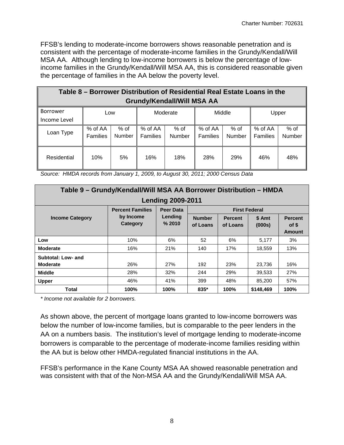FFSB's lending to moderate-income borrowers shows reasonable penetration and is consistent with the percentage of moderate-income families in the Grundy/Kendall/Will MSA AA. Although lending to low-income borrowers is below the percentage of lowincome families in the Grundy/Kendall/Will MSA AA, this is considered reasonable given the percentage of families in the AA below the poverty level.

| Table 8 – Borrower Distribution of Residential Real Estate Loans in the<br><b>Grundy/Kendall/Will MSA AA</b> |                            |                         |                            |                         |                     |                |                     |                  |  |  |
|--------------------------------------------------------------------------------------------------------------|----------------------------|-------------------------|----------------------------|-------------------------|---------------------|----------------|---------------------|------------------|--|--|
| Borrower<br>Income Level                                                                                     | Low                        |                         | Moderate                   |                         | Middle              |                | Upper               |                  |  |  |
| Loan Type                                                                                                    | % of AA<br><b>Families</b> | $%$ of<br><b>Number</b> | % of AA<br><b>Families</b> | $%$ of<br><b>Number</b> | % of AA<br>Families | % of<br>Number | % of AA<br>Families | $%$ of<br>Number |  |  |
| Residential                                                                                                  | 10%                        | 5%                      | 16%                        | 18%                     | 28%                 | <b>29%</b>     | 46%                 | 48%              |  |  |

*Source: HMDA records from January 1, 2009, to August 30, 2011; 2000 Census Data* 

| Table 9 - Grundy/Kendall/Will MSA AA Borrower Distribution - HMDA |                          |                   |                           |                            |                      |                                          |  |  |  |  |  |
|-------------------------------------------------------------------|--------------------------|-------------------|---------------------------|----------------------------|----------------------|------------------------------------------|--|--|--|--|--|
|                                                                   | <b>Lending 2009-2011</b> |                   |                           |                            |                      |                                          |  |  |  |  |  |
|                                                                   | <b>Percent Families</b>  | Peer Data         |                           |                            | <b>First Federal</b> |                                          |  |  |  |  |  |
| <b>Income Category</b>                                            | by Income<br>Category    | Lending<br>% 2010 | <b>Number</b><br>of Loans | <b>Percent</b><br>of Loans | \$ Amt<br>(000s)     | <b>Percent</b><br>of \$<br><b>Amount</b> |  |  |  |  |  |
| Low                                                               | 10%                      | 6%                | 52                        | 6%                         | 5,177                | 3%                                       |  |  |  |  |  |
| <b>Moderate</b>                                                   | 16%                      | 21%               | 140                       | 17%                        | 18.559               | 13%                                      |  |  |  |  |  |
| Subtotal: Low- and<br><b>Moderate</b>                             | 26%                      | 27%               | 192                       | 23%                        | 23.736               | 16%                                      |  |  |  |  |  |
| <b>Middle</b>                                                     | 28%                      | 32%               | 244                       | 29%                        | 39,533               | 27%                                      |  |  |  |  |  |
| <b>Upper</b>                                                      | 46%                      | 41%               | 399                       | 48%                        | 85,200               | 57%                                      |  |  |  |  |  |
| Total                                                             | 100%                     | 100%              | $835*$                    | 100%                       | \$148,469            | 100%                                     |  |  |  |  |  |

*\* Income not available for 2 borrowers.* 

As shown above, the percent of mortgage loans granted to low-income borrowers was below the number of low-income families, but is comparable to the peer lenders in the AA on a numbers basis. The institution's level of mortgage lending to moderate-income borrowers is comparable to the percentage of moderate-income families residing within the AA but is below other HMDA-regulated financial institutions in the AA.

FFSB's performance in the Kane County MSA AA showed reasonable penetration and was consistent with that of the Non-MSA AA and the Grundy/Kendall/Will MSA AA.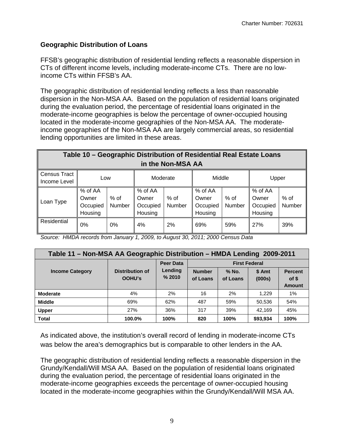#### **Geographic Distribution of Loans**

FFSB's geographic distribution of residential lending reflects a reasonable dispersion in CTs of different income levels, including moderate-income CTs. There are no lowincome CTs within FFSB's AA.

The geographic distribution of residential lending reflects a less than reasonable dispersion in the Non-MSA AA. Based on the population of residential loans originated during the evaluation period, the percentage of residential loans originated in the moderate-income geographies is below the percentage of owner-occupied housing located in the moderate-income geographies of the Non-MSA AA. The moderateincome geographies of the Non-MSA AA are largely commercial areas, so residential lending opportunities are limited in these areas.

|                                     | Table 10 - Geographic Distribution of Residential Real Estate Loans |                  |                                         |                |                                         |                |                                         |                  |  |  |  |
|-------------------------------------|---------------------------------------------------------------------|------------------|-----------------------------------------|----------------|-----------------------------------------|----------------|-----------------------------------------|------------------|--|--|--|
|                                     | in the Non-MSA AA                                                   |                  |                                         |                |                                         |                |                                         |                  |  |  |  |
| <b>Census Tract</b><br>Income Level | Low                                                                 |                  | Moderate                                |                | Middle                                  |                | Upper                                   |                  |  |  |  |
| Loan Type                           | % of AA<br>Owner<br>Occupied<br>Housing                             | $%$ of<br>Number | % of AA<br>Owner<br>Occupied<br>Housing | % of<br>Number | % of AA<br>Owner<br>Occupied<br>Housing | % of<br>Number | % of AA<br>Owner<br>Occupied<br>Housing | $%$ of<br>Number |  |  |  |
| Residential                         | 0%                                                                  | $0\%$            | 4%                                      | 2%             | 69%                                     | 59%            | 27%                                     | 39%              |  |  |  |

*Source: HMDA records from January 1, 2009, to August 30, 2011; 2000 Census Data* 

| Table 11 – Non-MSA AA Geographic Distribution – HMDA Lending 2009-2011 |                                  |                   |                           |                     |                  |                                          |  |  |  |  |
|------------------------------------------------------------------------|----------------------------------|-------------------|---------------------------|---------------------|------------------|------------------------------------------|--|--|--|--|
|                                                                        |                                  | <b>Peer Data</b>  | <b>First Federal</b>      |                     |                  |                                          |  |  |  |  |
| <b>Income Category</b>                                                 | Distribution of<br><b>OOHU's</b> | Lending<br>% 2010 | <b>Number</b><br>of Loans | $%$ No.<br>of Loans | \$ Amt<br>(000s) | <b>Percent</b><br>of \$<br><b>Amount</b> |  |  |  |  |
| <b>Moderate</b>                                                        | 4%                               | 2%                | 16                        | 2%                  | 1.229            | 1%                                       |  |  |  |  |
| <b>Middle</b>                                                          | 69%                              | 62%               | 487                       | 59%                 | 50,536           | 54%                                      |  |  |  |  |
| <b>Upper</b>                                                           | 27%                              | 36%               | 317                       | 39%                 | 42.169           | 45%                                      |  |  |  |  |
| <b>Total</b>                                                           | 100.0%                           | 100%              | 820                       | 100%                | \$93,934         | 100%                                     |  |  |  |  |

As indicated above, the institution's overall record of lending in moderate-income CTs was below the area's demographics but is comparable to other lenders in the AA.

The geographic distribution of residential lending reflects a reasonable dispersion in the Grundy/Kendall/Will MSA AA. Based on the population of residential loans originated during the evaluation period, the percentage of residential loans originated in the moderate-income geographies exceeds the percentage of owner-occupied housing located in the moderate-income geographies within the Grundy/Kendall/Will MSA AA.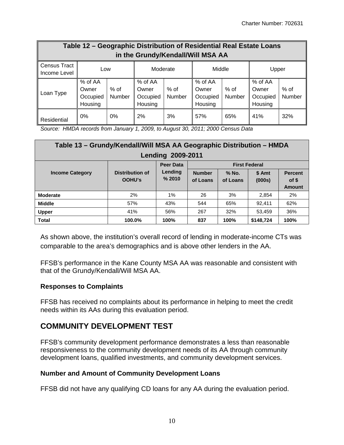| Table 12 - Geographic Distribution of Residential Real Estate Loans<br>in the Grundy/Kendall/Will MSA AA |                                         |                  |                                         |                |                                         |                |                                         |                  |  |  |
|----------------------------------------------------------------------------------------------------------|-----------------------------------------|------------------|-----------------------------------------|----------------|-----------------------------------------|----------------|-----------------------------------------|------------------|--|--|
| Census Tract<br>Income Level                                                                             | Low                                     |                  | Moderate                                |                | Middle                                  |                | Upper                                   |                  |  |  |
| Loan Type                                                                                                | % of AA<br>Owner<br>Occupied<br>Housing | $%$ of<br>Number | % of AA<br>Owner<br>Occupied<br>Housing | % of<br>Number | % of AA<br>Owner<br>Occupied<br>Housing | % of<br>Number | % of AA<br>Owner<br>Occupied<br>Housing | $%$ of<br>Number |  |  |
| Residential                                                                                              | 0%                                      | $0\%$            | 2%                                      | 3%             | 57%                                     | 65%            | 41%                                     | 32%              |  |  |

*Source: HMDA records from January 1, 2009, to August 30, 2011; 2000 Census Data* 

| Table 13 - Grundy/Kendall/Will MSA AA Geographic Distribution - HMDA |                                  |                                       |                           |                   |                  |                                   |
|----------------------------------------------------------------------|----------------------------------|---------------------------------------|---------------------------|-------------------|------------------|-----------------------------------|
| 2009-2011<br>Lending                                                 |                                  |                                       |                           |                   |                  |                                   |
| <b>Income Category</b>                                               | <b>Distribution of</b><br>OOHU's | <b>Peer Data</b><br>Lending<br>% 2010 | <b>First Federal</b>      |                   |                  |                                   |
|                                                                      |                                  |                                       | <b>Number</b><br>of Loans | % No.<br>of Loans | \$ Amt<br>(000s) | <b>Percent</b><br>of \$<br>Amount |
| <b>Moderate</b>                                                      | 2%                               | 1%                                    | 26                        | 3%                | 2.854            | 2%                                |
| <b>Middle</b>                                                        | 57%                              | 43%                                   | 544                       | 65%               | 92.411           | 62%                               |
| <b>Upper</b>                                                         | 41%                              | 56%                                   | 267                       | 32%               | 53.459           | 36%                               |
| <b>Total</b>                                                         | 100.0%                           | 100%                                  | 837                       | 100%              | \$148,724        | 100%                              |

As shown above, the institution's overall record of lending in moderate-income CTs was comparable to the area's demographics and is above other lenders in the AA.

FFSB's performance in the Kane County MSA AA was reasonable and consistent with that of the Grundy/Kendall/Will MSA AA.

#### **Responses to Complaints**

FFSB has received no complaints about its performance in helping to meet the credit needs within its AAs during this evaluation period.

#### **COMMUNITY DEVELOPMENT TEST**

FFSB's community development performance demonstrates a less than reasonable responsiveness to the community development needs of its AA through community development loans, qualified investments, and community development services.

#### **Number and Amount of Community Development Loans**

FFSB did not have any qualifying CD loans for any AA during the evaluation period.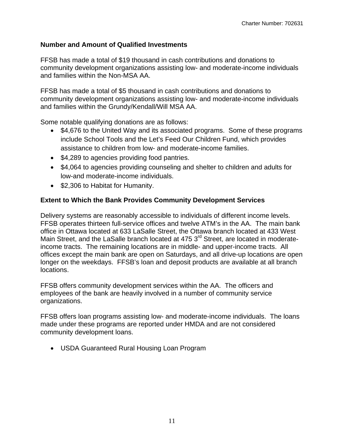#### **Number and Amount of Qualified Investments**

FFSB has made a total of \$19 thousand in cash contributions and donations to community development organizations assisting low- and moderate-income individuals and families within the Non-MSA AA.

FFSB has made a total of \$5 thousand in cash contributions and donations to community development organizations assisting low- and moderate-income individuals and families within the Grundy/Kendall/Will MSA AA.

Some notable qualifying donations are as follows:

- \$4,676 to the United Way and its associated programs. Some of these programs include School Tools and the Let's Feed Our Children Fund, which provides assistance to children from low- and moderate-income families.
- \$4,289 to agencies providing food pantries.
- \$4,064 to agencies providing counseling and shelter to children and adults for low-and moderate-income individuals.
- \$2,306 to Habitat for Humanity.

#### **Extent to Which the Bank Provides Community Development Services**

Delivery systems are reasonably accessible to individuals of different income levels. FFSB operates thirteen full-service offices and twelve ATM's in the AA. The main bank office in Ottawa located at 633 LaSalle Street, the Ottawa branch located at 433 West Main Street, and the LaSalle branch located at 475 3<sup>rd</sup> Street, are located in moderateincome tracts. The remaining locations are in middle- and upper-income tracts. All offices except the main bank are open on Saturdays, and all drive-up locations are open longer on the weekdays. FFSB's loan and deposit products are available at all branch locations.

FFSB offers community development services within the AA. The officers and employees of the bank are heavily involved in a number of community service organizations.

FFSB offers loan programs assisting low- and moderate-income individuals. The loans made under these programs are reported under HMDA and are not considered community development loans.

USDA Guaranteed Rural Housing Loan Program